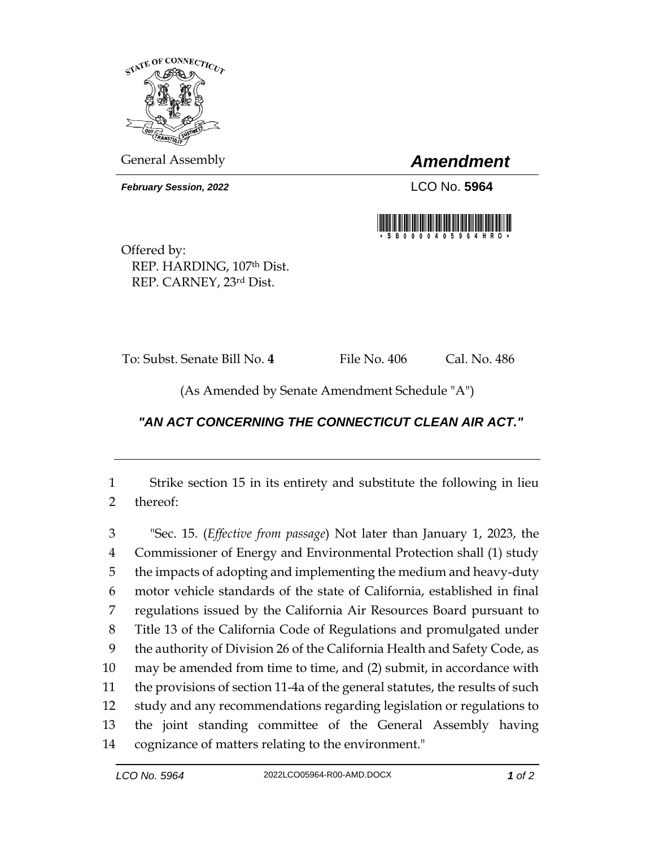

General Assembly *Amendment*

*February Session, 2022* LCO No. 5964



Offered by: REP. HARDING, 107th Dist. REP. CARNEY, 23rd Dist.

To: Subst. Senate Bill No. **4** File No. 406 Cal. No. 486

(As Amended by Senate Amendment Schedule "A")

## *"AN ACT CONCERNING THE CONNECTICUT CLEAN AIR ACT."*

 Strike section 15 in its entirety and substitute the following in lieu thereof:

 "Sec. 15. (*Effective from passage*) Not later than January 1, 2023, the Commissioner of Energy and Environmental Protection shall (1) study the impacts of adopting and implementing the medium and heavy-duty motor vehicle standards of the state of California, established in final regulations issued by the California Air Resources Board pursuant to Title 13 of the California Code of Regulations and promulgated under the authority of Division 26 of the California Health and Safety Code, as may be amended from time to time, and (2) submit, in accordance with the provisions of section 11-4a of the general statutes, the results of such study and any recommendations regarding legislation or regulations to the joint standing committee of the General Assembly having cognizance of matters relating to the environment."